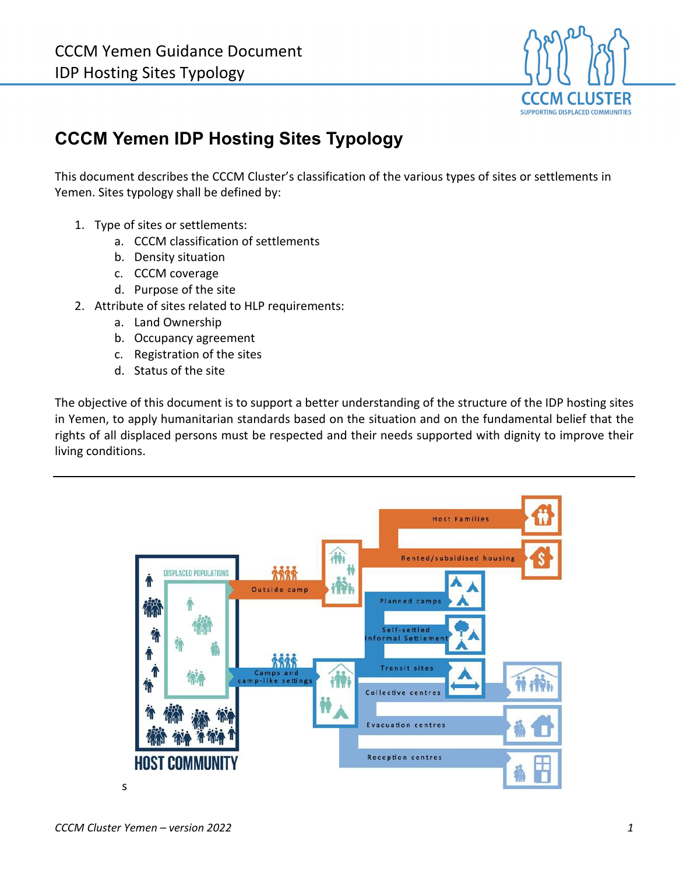

# **CCCM Yemen IDP Hosting Sites Typology**

This document describes the CCCM Cluster's classification of the various types of sites or settlements in Yemen. Sites typology shall be defined by:

- 1. Type of sites or settlements:
	- a. CCCM classification of settlements
	- b. Density situation
	- c. CCCM coverage
	- d. Purpose of the site
- 2. Attribute of sites related to HLP requirements:
	- a. Land Ownership
	- b. Occupancy agreement
	- c. Registration of the sites
	- d. Status of the site

The objective of this document is to support a better understanding of the structure of the IDP hosting sites in Yemen, to apply humanitarian standards based on the situation and on the fundamental belief that the rights of all displaced persons must be respected and their needs supported with dignity to improve their living conditions.

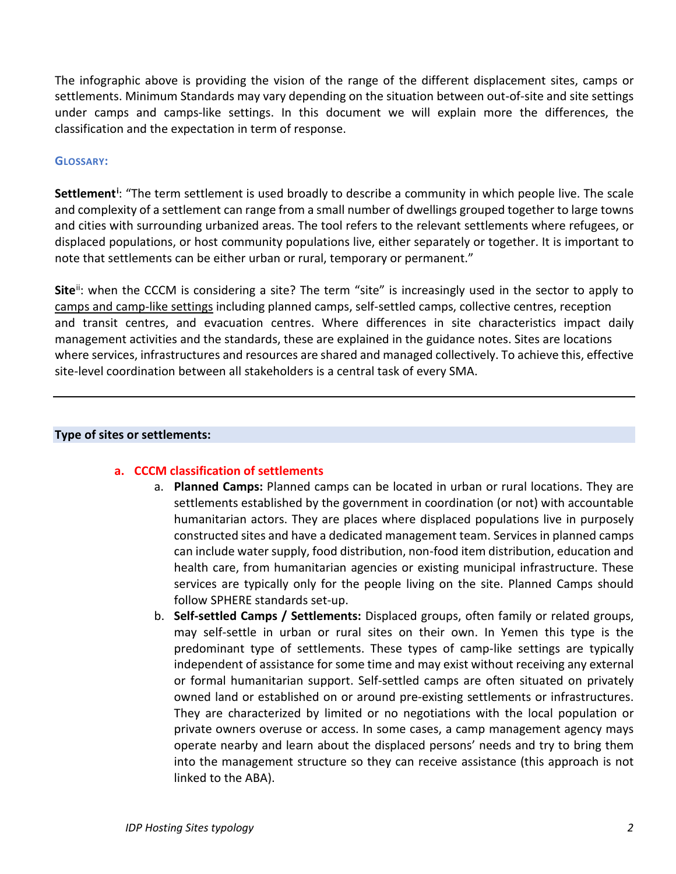The infographic above is providing the vision of the range of the different displacement sites, camps or settlements. Minimum Standards may vary depending on the situation between out-of-site and site settings under camps and camps-like settings. In this document we will explain more the differences, the classification and the expectation in term of response.

#### **GLOSSARY:**

Settlement<sup>[i](#page-5-0)</sup>: "The term settlement is used broadly to describe a community in which people live. The scale and complexity of a settlement can range from a small number of dwellings grouped together to large towns and cities with surrounding urbanized areas. The tool refers to the relevant settlements where refugees, or displaced populations, or host community populations live, either separately or together. It is important to note that settlements can be either urban or rural, temporary or permanent."

**Site**<sup>ii</sup>: when the CCCM is considering a site? The term "site" is increasingly used in the sector to apply to camps and camp-like settings including planned camps, self-settled camps, collective centres, reception and transit centres, and evacuation centres. Where differences in site characteristics impact daily management activities and the standards, these are explained in the guidance notes. Sites are locations where services, infrastructures and resources are shared and managed collectively. To achieve this, effective site-level coordination between all stakeholders is a central task of every SMA.

#### **Type of sites or settlements:**

#### **a. CCCM classification of settlements**

- a. **Planned Camps:** Planned camps can be located in urban or rural locations. They are settlements established by the government in coordination (or not) with accountable humanitarian actors. They are places where displaced populations live in purposely constructed sites and have a dedicated management team. Services in planned camps can include water supply, food distribution, non-food item distribution, education and health care, from humanitarian agencies or existing municipal infrastructure. These services are typically only for the people living on the site. Planned Camps should follow SPHERE standards set-up.
- b. **Self-settled Camps / Settlements:** Displaced groups, often family or related groups, may self-settle in urban or rural sites on their own. In Yemen this type is the predominant type of settlements. These types of camp-like settings are typically independent of assistance for some time and may exist without receiving any external or formal humanitarian support. Self-settled camps are often situated on privately owned land or established on or around pre-existing settlements or infrastructures. They are characterized by limited or no negotiations with the local population or private owners overuse or access. In some cases, a camp management agency mays operate nearby and learn about the displaced persons' needs and try to bring them into the management structure so they can receive assistance (this approach is not linked to the ABA).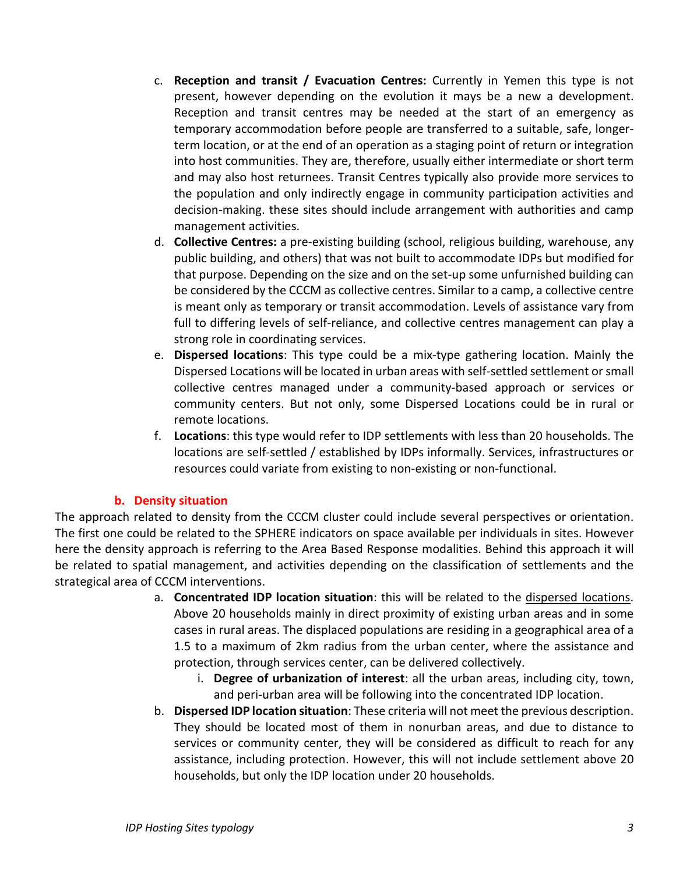- c. **Reception and transit / Evacuation Centres:** Currently in Yemen this type is not present, however depending on the evolution it mays be a new a development. Reception and transit centres may be needed at the start of an emergency as temporary accommodation before people are transferred to a suitable, safe, longerterm location, or at the end of an operation as a staging point of return or integration into host communities. They are, therefore, usually either intermediate or short term and may also host returnees. Transit Centres typically also provide more services to the population and only indirectly engage in community participation activities and decision-making. these sites should include arrangement with authorities and camp management activities.
- d. **Collective Centres:** a pre-existing building (school, religious building, warehouse, any public building, and others) that was not built to accommodate IDPs but modified for that purpose. Depending on the size and on the set-up some unfurnished building can be considered by the CCCM as collective centres. Similar to a camp, a collective centre is meant only as temporary or transit accommodation. Levels of assistance vary from full to differing levels of self-reliance, and collective centres management can play a strong role in coordinating services.
- e. **Dispersed locations**: This type could be a mix-type gathering location. Mainly the Dispersed Locations will be located in urban areas with self-settled settlement or small collective centres managed under a community-based approach or services or community centers. But not only, some Dispersed Locations could be in rural or remote locations.
- f. **Locations**: this type would refer to IDP settlements with less than 20 households. The locations are self-settled / established by IDPs informally. Services, infrastructures or resources could variate from existing to non-existing or non-functional.

# **b. Density situation**

The approach related to density from the CCCM cluster could include several perspectives or orientation. The first one could be related to the SPHERE indicators on space available per individuals in sites. However here the density approach is referring to the Area Based Response modalities. Behind this approach it will be related to spatial management, and activities depending on the classification of settlements and the strategical area of CCCM interventions.

- a. **Concentrated IDP location situation**: this will be related to the dispersed locations. Above 20 households mainly in direct proximity of existing urban areas and in some cases in rural areas. The displaced populations are residing in a geographical area of a 1.5 to a maximum of 2km radius from the urban center, where the assistance and protection, through services center, can be delivered collectively.
	- i. **Degree of urbanization of interest**: all the urban areas, including city, town, and peri-urban area will be following into the concentrated IDP location.
- b. **Dispersed IDP location situation**: These criteria will not meet the previous description. They should be located most of them in nonurban areas, and due to distance to services or community center, they will be considered as difficult to reach for any assistance, including protection. However, this will not include settlement above 20 households, but only the IDP location under 20 households.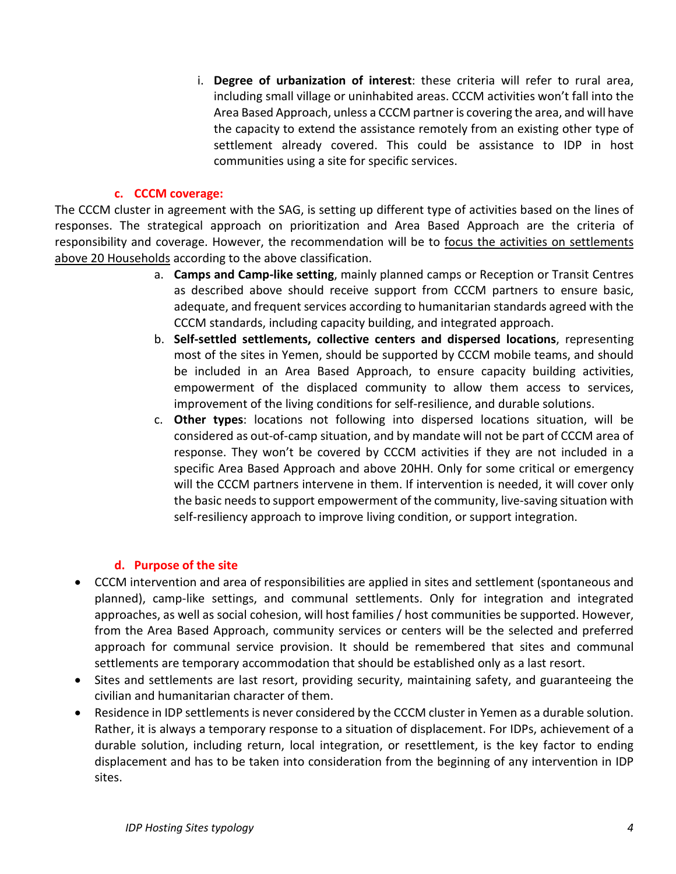i. **Degree of urbanization of interest**: these criteria will refer to rural area, including small village or uninhabited areas. CCCM activities won't fall into the Area Based Approach, unless a CCCM partneris covering the area, and will have the capacity to extend the assistance remotely from an existing other type of settlement already covered. This could be assistance to IDP in host communities using a site for specific services.

### **c. CCCM coverage:**

The CCCM cluster in agreement with the SAG, is setting up different type of activities based on the lines of responses. The strategical approach on prioritization and Area Based Approach are the criteria of responsibility and coverage. However, the recommendation will be to focus the activities on settlements above 20 Households according to the above classification.

- a. **Camps and Camp-like setting**, mainly planned camps or Reception or Transit Centres as described above should receive support from CCCM partners to ensure basic, adequate, and frequent services according to humanitarian standards agreed with the CCCM standards, including capacity building, and integrated approach.
- b. **Self-settled settlements, collective centers and dispersed locations**, representing most of the sites in Yemen, should be supported by CCCM mobile teams, and should be included in an Area Based Approach, to ensure capacity building activities, empowerment of the displaced community to allow them access to services, improvement of the living conditions for self-resilience, and durable solutions.
- c. **Other types**: locations not following into dispersed locations situation, will be considered as out-of-camp situation, and by mandate will not be part of CCCM area of response. They won't be covered by CCCM activities if they are not included in a specific Area Based Approach and above 20HH. Only for some critical or emergency will the CCCM partners intervene in them. If intervention is needed, it will cover only the basic needs to support empowerment of the community, live-saving situation with self-resiliency approach to improve living condition, or support integration.

# **d. Purpose of the site**

- CCCM intervention and area of responsibilities are applied in sites and settlement (spontaneous and planned), camp-like settings, and communal settlements. Only for integration and integrated approaches, as well as social cohesion, will host families / host communities be supported. However, from the Area Based Approach, community services or centers will be the selected and preferred approach for communal service provision. It should be remembered that sites and communal settlements are temporary accommodation that should be established only as a last resort.
- Sites and settlements are last resort, providing security, maintaining safety, and guaranteeing the civilian and humanitarian character of them.
- Residence in IDP settlements is never considered by the CCCM cluster in Yemen as a durable solution. Rather, it is always a temporary response to a situation of displacement. For IDPs, achievement of a durable solution, including return, local integration, or resettlement, is the key factor to ending displacement and has to be taken into consideration from the beginning of any intervention in IDP sites.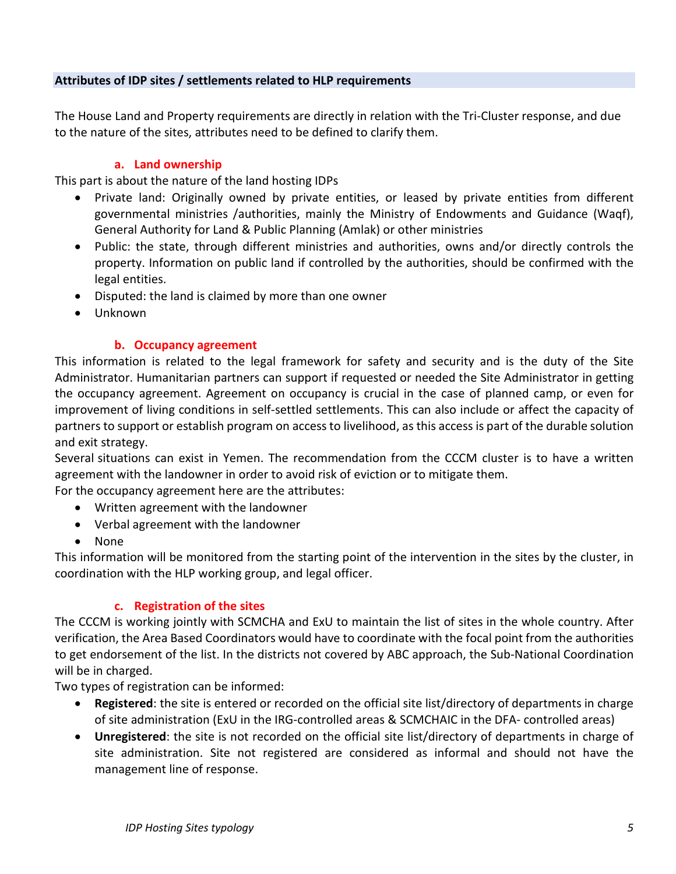# **Attributes of IDP sites / settlements related to HLP requirements**

The House Land and Property requirements are directly in relation with the Tri-Cluster response, and due to the nature of the sites, attributes need to be defined to clarify them.

# **a. Land ownership**

This part is about the nature of the land hosting IDPs

- Private land: Originally owned by private entities, or leased by private entities from different governmental ministries /authorities, mainly the Ministry of Endowments and Guidance (Waqf), General Authority for Land & Public Planning (Amlak) or other ministries
- Public: the state, through different ministries and authorities, owns and/or directly controls the property. Information on public land if controlled by the authorities, should be confirmed with the legal entities.
- Disputed: the land is claimed by more than one owner
- Unknown

# **b. Occupancy agreement**

This information is related to the legal framework for safety and security and is the duty of the Site Administrator. Humanitarian partners can support if requested or needed the Site Administrator in getting the occupancy agreement. Agreement on occupancy is crucial in the case of planned camp, or even for improvement of living conditions in self-settled settlements. This can also include or affect the capacity of partners to support or establish program on access to livelihood, as this access is part of the durable solution and exit strategy.

Several situations can exist in Yemen. The recommendation from the CCCM cluster is to have a written agreement with the landowner in order to avoid risk of eviction or to mitigate them.

For the occupancy agreement here are the attributes:

- Written agreement with the landowner
- Verbal agreement with the landowner
- None

This information will be monitored from the starting point of the intervention in the sites by the cluster, in coordination with the HLP working group, and legal officer.

#### **c. Registration of the sites**

The CCCM is working jointly with SCMCHA and ExU to maintain the list of sites in the whole country. After verification, the Area Based Coordinators would have to coordinate with the focal point from the authorities to get endorsement of the list. In the districts not covered by ABC approach, the Sub-National Coordination will be in charged.

Two types of registration can be informed:

- **Registered**: the site is entered or recorded on the official site list/directory of departments in charge of site administration (ExU in the IRG-controlled areas & SCMCHAIC in the DFA- controlled areas)
- **Unregistered**: the site is not recorded on the official site list/directory of departments in charge of site administration. Site not registered are considered as informal and should not have the management line of response.